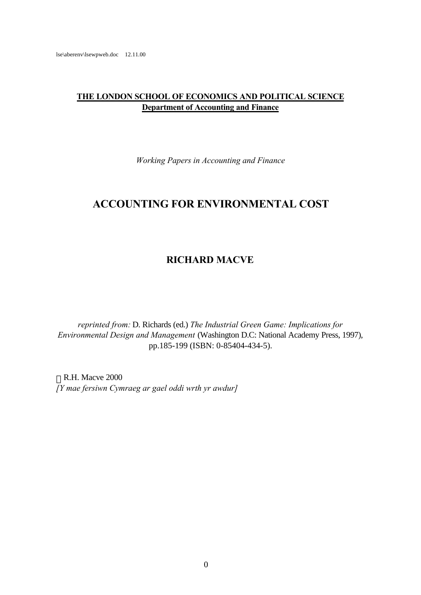## **THE LONDON SCHOOL OF ECONOMICS AND POLITICAL SCIENCE Department of Accounting and Finance**

*Working Papers in Accounting and Finance*

# **ACCOUNTING FOR ENVIRONMENTAL COST**

# **RICHARD MACVE**

*reprinted from:* D. Richards (ed.) *The Industrial Green Game: Implications for Environmental Design and Management* (Washington D.C: National Academy Press, 1997), pp.185-199 (ISBN: 0-85404-434-5).

 R.H. Macve 2000 *[Y mae fersiwn Cymraeg ar gael oddi wrth yr awdur]*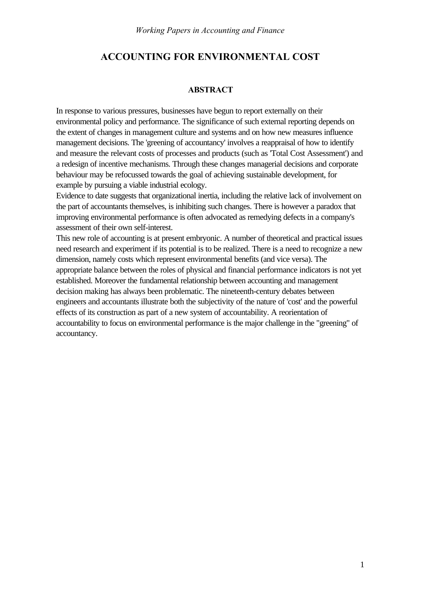## **ACCOUNTING FOR ENVIRONMENTAL COST**

## **ABSTRACT**

In response to various pressures, businesses have begun to report externally on their environmental policy and performance. The significance of such external reporting depends on the extent of changes in management culture and systems and on how new measures influence management decisions. The 'greening of accountancy' involves a reappraisal of how to identify and measure the relevant costs of processes and products (such as 'Total Cost Assessment') and a redesign of incentive mechanisms. Through these changes managerial decisions and corporate behaviour may be refocussed towards the goal of achieving sustainable development, for example by pursuing a viable industrial ecology.

Evidence to date suggests that organizational inertia, including the relative lack of involvement on the part of accountants themselves, is inhibiting such changes. There is however a paradox that improving environmental performance is often advocated as remedying defects in a company's assessment of their own self-interest.

This new role of accounting is at present embryonic. A number of theoretical and practical issues need research and experiment if its potential is to be realized. There is a need to recognize a new dimension, namely costs which represent environmental benefits (and vice versa). The appropriate balance between the roles of physical and financial performance indicators is not yet established. Moreover the fundamental relationship between accounting and management decision making has always been problematic. The nineteenth-century debates between engineers and accountants illustrate both the subjectivity of the nature of 'cost' and the powerful effects of its construction as part of a new system of accountability. A reorientation of accountability to focus on environmental performance is the major challenge in the "greening" of accountancy.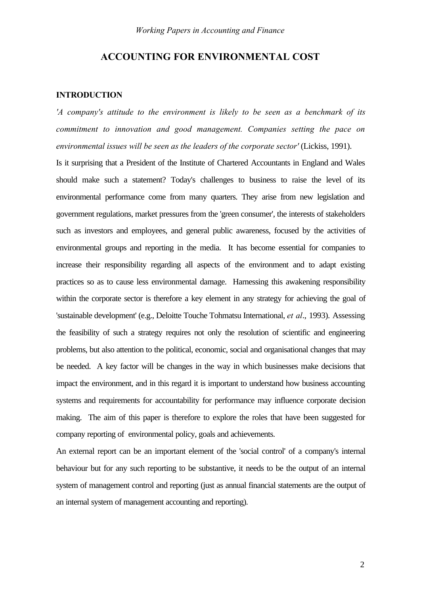## **ACCOUNTING FOR ENVIRONMENTAL COST**

#### **INTRODUCTION**

*'A company's attitude to the environment is likely to be seen as a benchmark of its commitment to innovation and good management. Companies setting the pace on* environmental issues will be seen as the leaders of the corporate sector' (Lickiss, 1991).

Is it surprising that a President of the Institute of Chartered Accountants in England and Wales should make such a statement? Today's challenges to business to raise the level of its environmental performance come from many quarters. They arise from new legislation and government regulations, market pressures from the 'green consumer', the interests of stakeholders such as investors and employees, and general public awareness, focused by the activities of environmental groups and reporting in the media. It has become essential for companies to increase their responsibility regarding all aspects of the environment and to adapt existing practices so as to cause less environmental damage. Harnessing this awakening responsibility within the corporate sector is therefore a key element in any strategy for achieving the goal of 'sustainable development' (e.g., Deloitte Touche Tohmatsu International, *et al*., 1993). Assessing the feasibility of such a strategy requires not only the resolution of scientific and engineering problems, but also attention to the political, economic, social and organisational changes that may be needed. A key factor will be changes in the way in which businesses make decisions that impact the environment, and in this regard it is important to understand how business accounting systems and requirements for accountability for performance may influence corporate decision making. The aim of this paper is therefore to explore the roles that have been suggested for company reporting of environmental policy, goals and achievements.

An external report can be an important element of the 'social control' of a company's internal behaviour but for any such reporting to be substantive, it needs to be the output of an internal system of management control and reporting (just as annual financial statements are the output of an internal system of management accounting and reporting).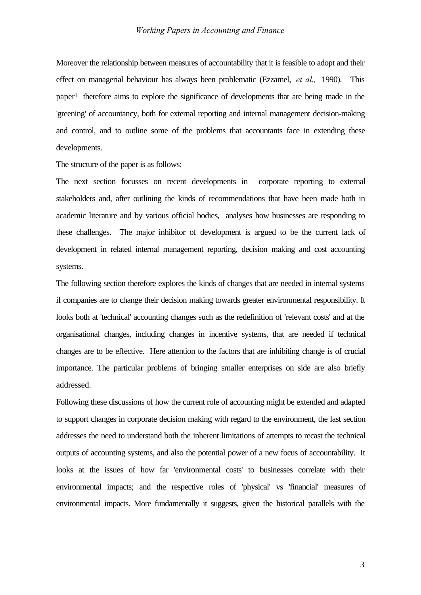Moreover the relationship between measures of accountability that it is feasible to adopt and their effect on managerial behaviour has always been problematic (Ezzamel, *et al.,* 1990). This paper<sup>1</sup> therefore aims to explore the significance of developments that are being made in the 'greening' of accountancy, both for external reporting and internal management decision-making and control, and to outline some of the problems that accountants face in extending these developments.

The structure of the paper is as follows:

The next section focusses on recent developments in corporate reporting to external stakeholders and, after outlining the kinds of recommendations that have been made both in academic literature and by various official bodies, analyses how businesses are responding to these challenges. The major inhibitor of development is argued to be the current lack of development in related internal management reporting, decision making and cost accounting systems.

The following section therefore explores the kinds of changes that are needed in internal systems if companies are to change their decision making towards greater environmental responsibility. It looks both at 'technical' accounting changes such as the redefinition of 'relevant costs' and at the organisational changes, including changes in incentive systems, that are needed if technical changes are to be effective. Here attention to the factors that are inhibiting change is of crucial importance. The particular problems of bringing smaller enterprises on side are also briefly addressed.

Following these discussions of how the current role of accounting might be extended and adapted to support changes in corporate decision making with regard to the environment, the last section addresses the need to understand both the inherent limitations of attempts to recast the technical outputs of accounting systems, and also the potential power of a new focus of accountability. It looks at the issues of how far 'environmental costs' to businesses correlate with their environmental impacts; and the respective roles of 'physical' vs 'financial' measures of environmental impacts. More fundamentally it suggests, given the historical parallels with the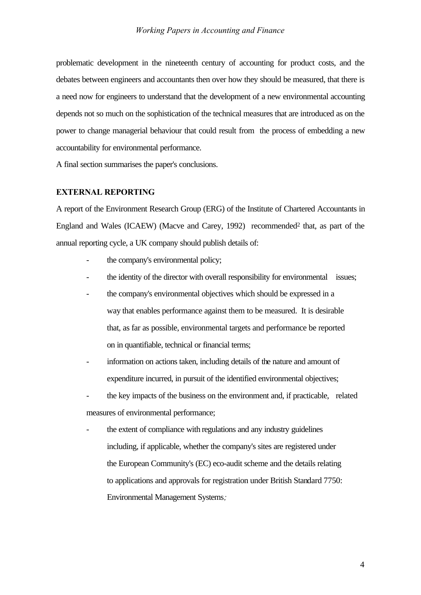problematic development in the nineteenth century of accounting for product costs, and the debates between engineers and accountants then over how they should be measured, that there is a need now for engineers to understand that the development of a new environmental accounting depends not so much on the sophistication of the technical measures that are introduced as on the power to change managerial behaviour that could result from the process of embedding a new accountability for environmental performance.

A final section summarises the paper's conclusions.

## **EXTERNAL REPORTING**

A report of the Environment Research Group (ERG) of the Institute of Chartered Accountants in England and Wales (ICAEW) (Macve and Carey, 1992) recommended<sup>2</sup> that, as part of the annual reporting cycle, a UK company should publish details of:

- the company's environmental policy;
- the identity of the director with overall responsibility for environmental issues;
- the company's environmental objectives which should be expressed in a way that enables performance against them to be measured. It is desirable that, as far as possible, environmental targets and performance be reported on in quantifiable, technical or financial terms;
- information on actions taken, including details of the nature and amount of expenditure incurred, in pursuit of the identified environmental objectives;
- the key impacts of the business on the environment and, if practicable, related measures of environmental performance;
- the extent of compliance with regulations and any industry guidelines including, if applicable, whether the company's sites are registered under the European Community's (EC) eco-audit scheme and the details relating to applications and approvals for registration under British Standard 7750: Environmental Management Systems*;*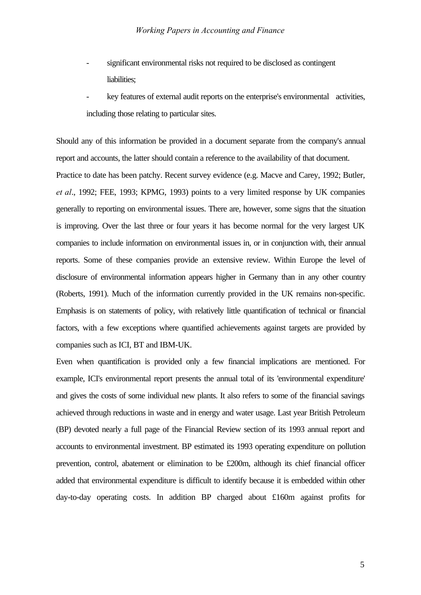- significant environmental risks not required to be disclosed as contingent liabilities;
- key features of external audit reports on the enterprise's environmental activities, including those relating to particular sites.

Should any of this information be provided in a document separate from the company's annual report and accounts, the latter should contain a reference to the availability of that document.

Practice to date has been patchy. Recent survey evidence (e.g. Macve and Carey, 1992; Butler, *et al*., 1992; FEE, 1993; KPMG, 1993) points to a very limited response by UK companies generally to reporting on environmental issues. There are, however, some signs that the situation is improving. Over the last three or four years it has become normal for the very largest UK companies to include information on environmental issues in, or in conjunction with, their annual reports. Some of these companies provide an extensive review. Within Europe the level of disclosure of environmental information appears higher in Germany than in any other country (Roberts, 1991). Much of the information currently provided in the UK remains non-specific. Emphasis is on statements of policy, with relatively little quantification of technical or financial factors, with a few exceptions where quantified achievements against targets are provided by companies such as ICI, BT and IBM-UK.

Even when quantification is provided only a few financial implications are mentioned. For example, ICI's environmental report presents the annual total of its 'environmental expenditure' and gives the costs of some individual new plants. It also refers to some of the financial savings achieved through reductions in waste and in energy and water usage. Last year British Petroleum (BP) devoted nearly a full page of the Financial Review section of its 1993 annual report and accounts to environmental investment. BP estimated its 1993 operating expenditure on pollution prevention, control, abatement or elimination to be £200m, although its chief financial officer added that environmental expenditure is difficult to identify because it is embedded within other day-to-day operating costs. In addition BP charged about £160m against profits for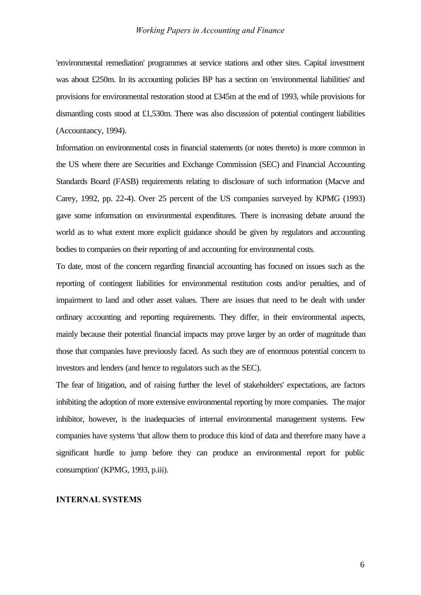'environmental remediation' programmes at service stations and other sites. Capital investment was about £250m. In its accounting policies BP has a section on 'environmental liabilities' and provisions for environmental restoration stood at £345m at the end of 1993, while provisions for dismantling costs stood at £1,530m. There was also discussion of potential contingent liabilities (Accountancy, 1994).

Information on environmental costs in financial statements (or notes thereto) is more common in the US where there are Securities and Exchange Commission (SEC) and Financial Accounting Standards Board (FASB) requirements relating to disclosure of such information (Macve and Carey, 1992, pp. 22-4). Over 25 percent of the US companies surveyed by KPMG (1993) gave some information on environmental expenditures. There is increasing debate around the world as to what extent more explicit guidance should be given by regulators and accounting bodies to companies on their reporting of and accounting for environmental costs.

To date, most of the concern regarding financial accounting has focused on issues such as the reporting of contingent liabilities for environmental restitution costs and/or penalties, and of impairment to land and other asset values. There are issues that need to be dealt with under ordinary accounting and reporting requirements. They differ, in their environmental aspects, mainly because their potential financial impacts may prove larger by an order of magnitude than those that companies have previously faced. As such they are of enormous potential concern to investors and lenders (and hence to regulators such as the SEC).

The fear of litigation, and of raising further the level of stakeholders' expectations, are factors inhibiting the adoption of more extensive environmental reporting by more companies. The major inhibitor, however, is the inadequacies of internal environmental management systems. Few companies have systems 'that allow them to produce this kind of data and therefore many have a significant hurdle to jump before they can produce an environmental report for public consumption' (KPMG, 1993, p.iii).

#### **INTERNAL SYSTEMS**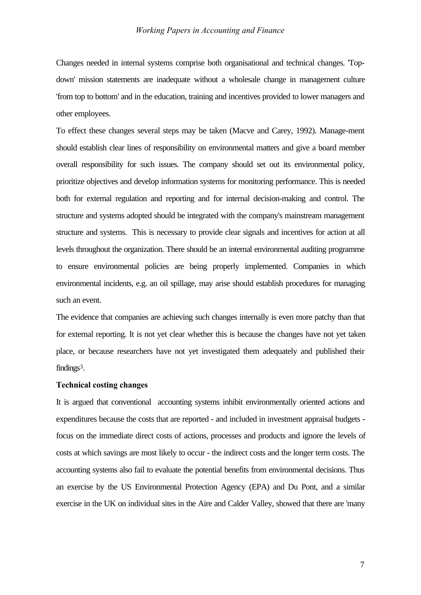Changes needed in internal systems comprise both organisational and technical changes. 'Topdown' mission statements are inadequate without a wholesale change in management culture 'from top to bottom' and in the education, training and incentives provided to lower managers and other employees.

To effect these changes several steps may be taken (Macve and Carey, 1992). Manage-ment should establish clear lines of responsibility on environmental matters and give a board member overall responsibility for such issues. The company should set out its environmental policy, prioritize objectives and develop information systems for monitoring performance. This is needed both for external regulation and reporting and for internal decision-making and control. The structure and systems adopted should be integrated with the company's mainstream management structure and systems. This is necessary to provide clear signals and incentives for action at all levels throughout the organization. There should be an internal environmental auditing programme to ensure environmental policies are being properly implemented. Companies in which environmental incidents, e.g. an oil spillage, may arise should establish procedures for managing such an event.

The evidence that companies are achieving such changes internally is even more patchy than that for external reporting. It is not yet clear whether this is because the changes have not yet taken place, or because researchers have not yet investigated them adequately and published their findings $3$ .

## **Technical costing changes**

It is argued that conventional accounting systems inhibit environmentally oriented actions and expenditures because the costs that are reported - and included in investment appraisal budgets focus on the immediate direct costs of actions, processes and products and ignore the levels of costs at which savings are most likely to occur - the indirect costs and the longer term costs. The accounting systems also fail to evaluate the potential benefits from environmental decisions. Thus an exercise by the US Environmental Protection Agency (EPA) and Du Pont, and a similar exercise in the UK on individual sites in the Aire and Calder Valley, showed that there are 'many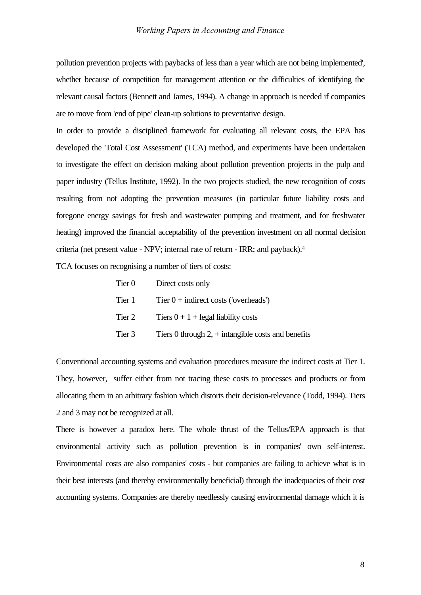pollution prevention projects with paybacks of less than a year which are not being implemented', whether because of competition for management attention or the difficulties of identifying the relevant causal factors (Bennett and James, 1994). A change in approach is needed if companies are to move from 'end of pipe' clean-up solutions to preventative design.

In order to provide a disciplined framework for evaluating all relevant costs, the EPA has developed the 'Total Cost Assessment' (TCA) method, and experiments have been undertaken to investigate the effect on decision making about pollution prevention projects in the pulp and paper industry (Tellus Institute, 1992). In the two projects studied, the new recognition of costs resulting from not adopting the prevention measures (in particular future liability costs and foregone energy savings for fresh and wastewater pumping and treatment, and for freshwater heating) improved the financial acceptability of the prevention investment on all normal decision criteria (net present value - NPV; internal rate of return - IRR; and payback).<sup>4</sup>

TCA focuses on recognising a number of tiers of costs:

| Tier 0 | Direct costs only                                     |
|--------|-------------------------------------------------------|
| Tier 1 | Tier $0 +$ indirect costs ('overheads')               |
| Tier 2 | Tiers $0 + 1 + \log a$ liability costs                |
| Tier 3 | Tiers 0 through $2$ , + intangible costs and benefits |

Conventional accounting systems and evaluation procedures measure the indirect costs at Tier 1. They, however, suffer either from not tracing these costs to processes and products or from allocating them in an arbitrary fashion which distorts their decision-relevance (Todd, 1994). Tiers 2 and 3 may not be recognized at all.

There is however a paradox here. The whole thrust of the Tellus/EPA approach is that environmental activity such as pollution prevention is in companies' own self-interest. Environmental costs are also companies' costs - but companies are failing to achieve what is in their best interests (and thereby environmentally beneficial) through the inadequacies of their cost accounting systems. Companies are thereby needlessly causing environmental damage which it is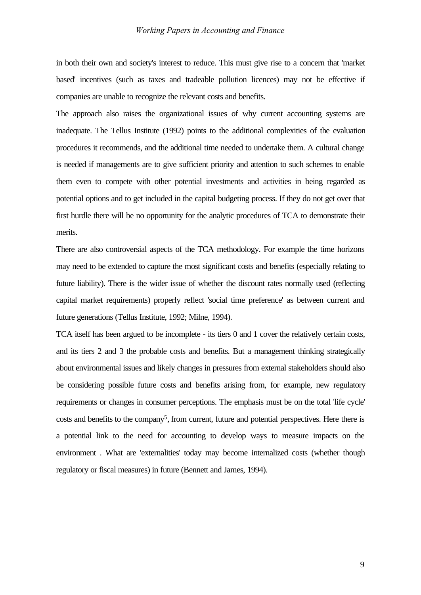in both their own and society's interest to reduce. This must give rise to a concern that 'market based' incentives (such as taxes and tradeable pollution licences) may not be effective if companies are unable to recognize the relevant costs and benefits.

The approach also raises the organizational issues of why current accounting systems are inadequate. The Tellus Institute (1992) points to the additional complexities of the evaluation procedures it recommends, and the additional time needed to undertake them. A cultural change is needed if managements are to give sufficient priority and attention to such schemes to enable them even to compete with other potential investments and activities in being regarded as potential options and to get included in the capital budgeting process. If they do not get over that first hurdle there will be no opportunity for the analytic procedures of TCA to demonstrate their merits.

There are also controversial aspects of the TCA methodology. For example the time horizons may need to be extended to capture the most significant costs and benefits (especially relating to future liability). There is the wider issue of whether the discount rates normally used (reflecting capital market requirements) properly reflect 'social time preference' as between current and future generations (Tellus Institute, 1992; Milne, 1994).

TCA itself has been argued to be incomplete - its tiers 0 and 1 cover the relatively certain costs, and its tiers 2 and 3 the probable costs and benefits. But a management thinking strategically about environmental issues and likely changes in pressures from external stakeholders should also be considering possible future costs and benefits arising from, for example, new regulatory requirements or changes in consumer perceptions. The emphasis must be on the total 'life cycle' costs and benefits to the company<sup>5</sup>, from current, future and potential perspectives. Here there is a potential link to the need for accounting to develop ways to measure impacts on the environment . What are 'externalities' today may become internalized costs (whether though regulatory or fiscal measures) in future (Bennett and James, 1994).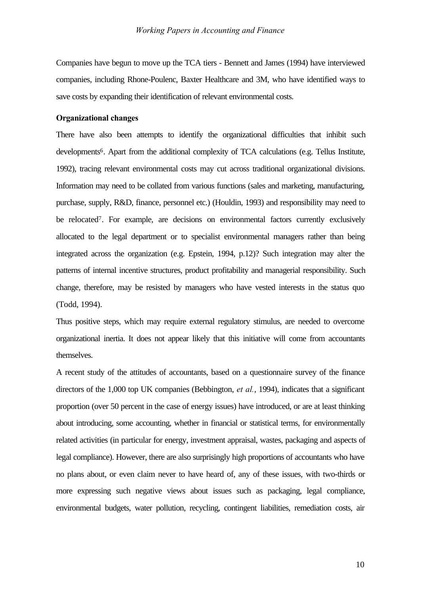Companies have begun to move up the TCA tiers - Bennett and James (1994) have interviewed companies, including Rhone-Poulenc, Baxter Healthcare and 3M, who have identified ways to save costs by expanding their identification of relevant environmental costs.

## **Organizational changes**

There have also been attempts to identify the organizational difficulties that inhibit such developments<sup>6</sup>. Apart from the additional complexity of TCA calculations (e.g. Tellus Institute, 1992), tracing relevant environmental costs may cut across traditional organizational divisions. Information may need to be collated from various functions (sales and marketing, manufacturing, purchase, supply, R&D, finance, personnel etc.) (Houldin, 1993) and responsibility may need to be relocated<sup>7</sup>. For example, are decisions on environmental factors currently exclusively allocated to the legal department or to specialist environmental managers rather than being integrated across the organization (e.g. Epstein, 1994, p.12)? Such integration may alter the patterns of internal incentive structures, product profitability and managerial responsibility. Such change, therefore, may be resisted by managers who have vested interests in the status quo (Todd, 1994).

Thus positive steps, which may require external regulatory stimulus, are needed to overcome organizational inertia. It does not appear likely that this initiative will come from accountants themselves.

A recent study of the attitudes of accountants, based on a questionnaire survey of the finance directors of the 1,000 top UK companies (Bebbington, *et al.*, 1994), indicates that a significant proportion (over 50 percent in the case of energy issues) have introduced, or are at least thinking about introducing, some accounting, whether in financial or statistical terms, for environmentally related activities (in particular for energy, investment appraisal, wastes, packaging and aspects of legal compliance). However, there are also surprisingly high proportions of accountants who have no plans about, or even claim never to have heard of, any of these issues, with two-thirds or more expressing such negative views about issues such as packaging, legal compliance, environmental budgets, water pollution, recycling, contingent liabilities, remediation costs, air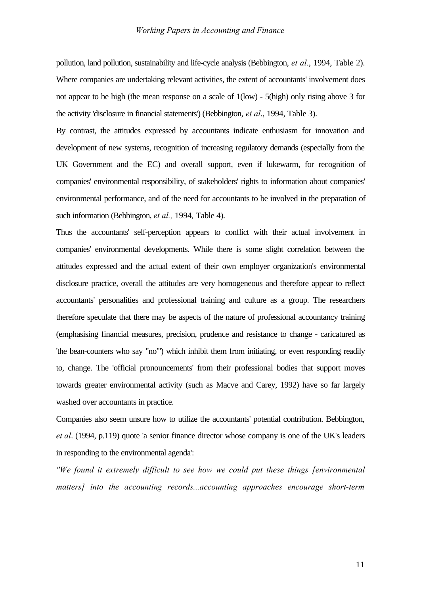pollution, land pollution, sustainability and life-cycle analysis (Bebbington, *et al.*, 1994, Table 2). Where companies are undertaking relevant activities, the extent of accountants' involvement does not appear to be high (the mean response on a scale of 1(low) - 5(high) only rising above 3 for the activity 'disclosure in financial statements') (Bebbington, *et al*., 1994, Table 3).

By contrast, the attitudes expressed by accountants indicate enthusiasm for innovation and development of new systems, recognition of increasing regulatory demands (especially from the UK Government and the EC) and overall support, even if lukewarm, for recognition of companies' environmental responsibility, of stakeholders' rights to information about companies' environmental performance, and of the need for accountants to be involved in the preparation of such information (Bebbington, *et al.,* 1994*,* Table 4).

Thus the accountants' self-perception appears to conflict with their actual involvement in companies' environmental developments. While there is some slight correlation between the attitudes expressed and the actual extent of their own employer organization's environmental disclosure practice, overall the attitudes are very homogeneous and therefore appear to reflect accountants' personalities and professional training and culture as a group. The researchers therefore speculate that there may be aspects of the nature of professional accountancy training (emphasising financial measures, precision, prudence and resistance to change - caricatured as 'the bean-counters who say "no"') which inhibit them from initiating, or even responding readily to, change. The 'official pronouncements' from their professional bodies that support moves towards greater environmental activity (such as Macve and Carey, 1992) have so far largely washed over accountants in practice.

Companies also seem unsure how to utilize the accountants' potential contribution. Bebbington, *et al*. (1994, p.119) quote 'a senior finance director whose company is one of the UK's leaders in responding to the environmental agenda':

*"We found it extremely difficult to see how we could put these things [environmental matters] into the accounting records...accounting approaches encourage short-term*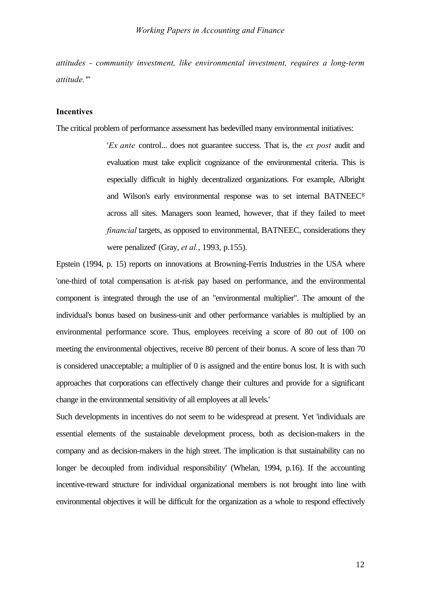*attitudes - community investment, like environmental investment, requires a long-term attitude."*'

## **Incentives**

The critical problem of performance assessment has bedevilled many environmental initiatives:

'*Ex ante* control... does not guarantee success. That is, the *ex post* audit and evaluation must take explicit cognizance of the environmental criteria. This is especially difficult in highly decentralized organizations. For example, Albright and Wilson's early environmental response was to set internal BATNEEC<sup>8</sup> across all sites. Managers soon learned, however, that if they failed to meet *financial* targets, as opposed to environmental, BATNEEC, considerations they were penalized' (Gray, *et al.*, 1993, p.155).

Epstein (1994, p. 15) reports on innovations at Browning-Ferris Industries in the USA where 'one-third of total compensation is at-risk pay based on performance, and the environmental component is integrated through the use of an "environmental multiplier". The amount of the individual's bonus based on business-unit and other performance variables is multiplied by an environmental performance score. Thus, employees receiving a score of 80 out of 100 on meeting the environmental objectives, receive 80 percent of their bonus. A score of less than 70 is considered unacceptable; a multiplier of 0 is assigned and the entire bonus lost. It is with such approaches that corporations can effectively change their cultures and provide for a significant change in the environmental sensitivity of all employees at all levels.'

Such developments in incentives do not seem to be widespread at present. Yet 'individuals are essential elements of the sustainable development process, both as decision-makers in the company and as decision-makers in the high street. The implication is that sustainability can no longer be decoupled from individual responsibility' (Whelan, 1994, p.16). If the accounting incentive-reward structure for individual organizational members is not brought into line with environmental objectives it will be difficult for the organization as a whole to respond effectively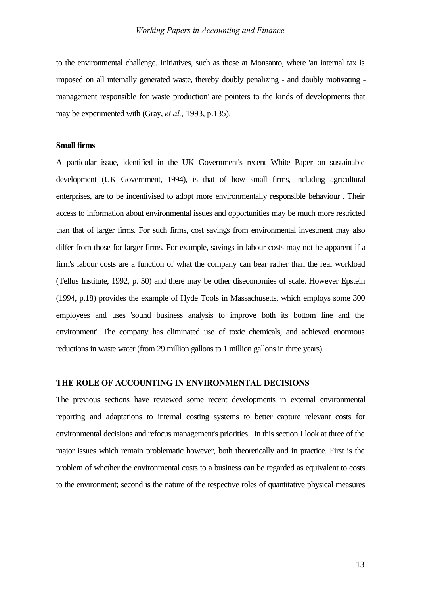to the environmental challenge. Initiatives, such as those at Monsanto, where 'an internal tax is imposed on all internally generated waste, thereby doubly penalizing - and doubly motivating management responsible for waste production' are pointers to the kinds of developments that may be experimented with (Gray, *et al.,* 1993, p.135).

## **Small firms**

A particular issue, identified in the UK Government's recent White Paper on sustainable development (UK Government, 1994), is that of how small firms, including agricultural enterprises, are to be incentivised to adopt more environmentally responsible behaviour . Their access to information about environmental issues and opportunities may be much more restricted than that of larger firms. For such firms, cost savings from environmental investment may also differ from those for larger firms. For example, savings in labour costs may not be apparent if a firm's labour costs are a function of what the company can bear rather than the real workload (Tellus Institute, 1992, p. 50) and there may be other diseconomies of scale. However Epstein (1994, p.18) provides the example of Hyde Tools in Massachusetts, which employs some 300 employees and uses 'sound business analysis to improve both its bottom line and the environment'. The company has eliminated use of toxic chemicals, and achieved enormous reductions in waste water (from 29 million gallons to 1 million gallons in three years).

## **THE ROLE OF ACCOUNTING IN ENVIRONMENTAL DECISIONS**

The previous sections have reviewed some recent developments in external environmental reporting and adaptations to internal costing systems to better capture relevant costs for environmental decisions and refocus management's priorities. In this section I look at three of the major issues which remain problematic however, both theoretically and in practice. First is the problem of whether the environmental costs to a business can be regarded as equivalent to costs to the environment; second is the nature of the respective roles of quantitative physical measures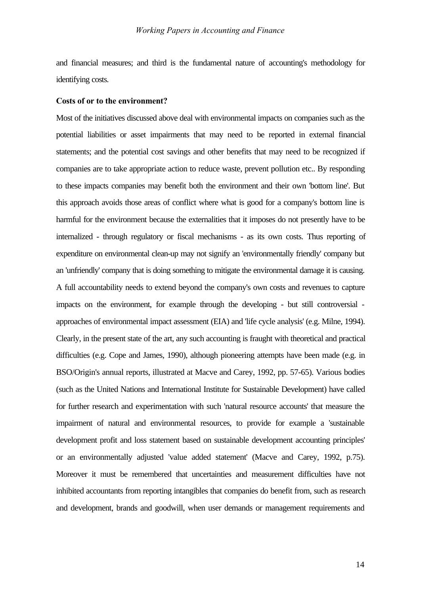and financial measures; and third is the fundamental nature of accounting's methodology for identifying costs.

#### **Costs of or to the environment?**

Most of the initiatives discussed above deal with environmental impacts on companies such as the potential liabilities or asset impairments that may need to be reported in external financial statements; and the potential cost savings and other benefits that may need to be recognized if companies are to take appropriate action to reduce waste, prevent pollution etc.. By responding to these impacts companies may benefit both the environment and their own 'bottom line'. But this approach avoids those areas of conflict where what is good for a company's bottom line is harmful for the environment because the externalities that it imposes do not presently have to be internalized - through regulatory or fiscal mechanisms - as its own costs. Thus reporting of expenditure on environmental clean-up may not signify an 'environmentally friendly' company but an 'unfriendly' company that is doing something to mitigate the environmental damage it is causing. A full accountability needs to extend beyond the company's own costs and revenues to capture impacts on the environment, for example through the developing - but still controversial approaches of environmental impact assessment (EIA) and 'life cycle analysis' (e.g. Milne, 1994). Clearly, in the present state of the art, any such accounting is fraught with theoretical and practical difficulties (e.g. Cope and James, 1990), although pioneering attempts have been made (e.g. in BSO/Origin's annual reports, illustrated at Macve and Carey, 1992, pp. 57-65). Various bodies (such as the United Nations and International Institute for Sustainable Development) have called for further research and experimentation with such 'natural resource accounts' that measure the impairment of natural and environmental resources, to provide for example a 'sustainable development profit and loss statement based on sustainable development accounting principles' or an environmentally adjusted 'value added statement' (Macve and Carey, 1992, p.75). Moreover it must be remembered that uncertainties and measurement difficulties have not inhibited accountants from reporting intangibles that companies do benefit from, such as research and development, brands and goodwill, when user demands or management requirements and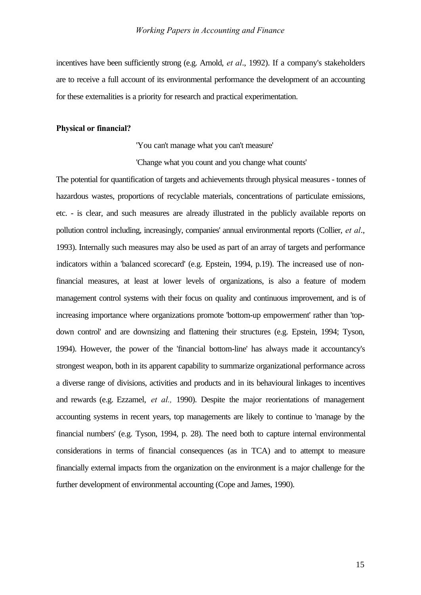incentives have been sufficiently strong (e.g. Arnold, *et al*., 1992). If a company's stakeholders are to receive a full account of its environmental performance the development of an accounting for these externalities is a priority for research and practical experimentation.

### **Physical or financial?**

'You can't manage what you can't measure'

'Change what you count and you change what counts'

The potential for quantification of targets and achievements through physical measures - tonnes of hazardous wastes, proportions of recyclable materials, concentrations of particulate emissions, etc. - is clear, and such measures are already illustrated in the publicly available reports on pollution control including, increasingly, companies' annual environmental reports (Collier, *et al*., 1993). Internally such measures may also be used as part of an array of targets and performance indicators within a 'balanced scorecard' (e.g. Epstein, 1994, p.19). The increased use of nonfinancial measures, at least at lower levels of organizations, is also a feature of modern management control systems with their focus on quality and continuous improvement, and is of increasing importance where organizations promote 'bottom-up empowerment' rather than 'topdown control' and are downsizing and flattening their structures (e.g. Epstein, 1994; Tyson, 1994). However, the power of the 'financial bottom-line' has always made it accountancy's strongest weapon, both in its apparent capability to summarize organizational performance across a diverse range of divisions, activities and products and in its behavioural linkages to incentives and rewards (e.g. Ezzamel, *et al.,* 1990). Despite the major reorientations of management accounting systems in recent years, top managements are likely to continue to 'manage by the financial numbers' (e.g. Tyson, 1994, p. 28). The need both to capture internal environmental considerations in terms of financial consequences (as in TCA) and to attempt to measure financially external impacts from the organization on the environment is a major challenge for the further development of environmental accounting (Cope and James, 1990).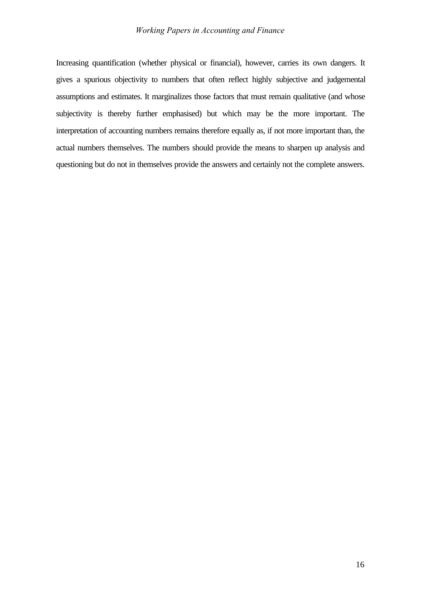Increasing quantification (whether physical or financial), however, carries its own dangers. It gives a spurious objectivity to numbers that often reflect highly subjective and judgemental assumptions and estimates. It marginalizes those factors that must remain qualitative (and whose subjectivity is thereby further emphasised) but which may be the more important. The interpretation of accounting numbers remains therefore equally as, if not more important than, the actual numbers themselves. The numbers should provide the means to sharpen up analysis and questioning but do not in themselves provide the answers and certainly not the complete answers.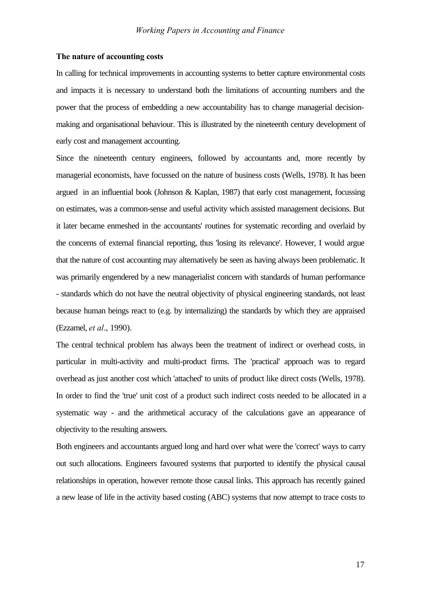#### **The nature of accounting costs**

In calling for technical improvements in accounting systems to better capture environmental costs and impacts it is necessary to understand both the limitations of accounting numbers and the power that the process of embedding a new accountability has to change managerial decisionmaking and organisational behaviour. This is illustrated by the nineteenth century development of early cost and management accounting.

Since the nineteenth century engineers, followed by accountants and, more recently by managerial economists, have focussed on the nature of business costs (Wells, 1978). It has been argued in an influential book (Johnson & Kaplan, 1987) that early cost management, focussing on estimates, was a common-sense and useful activity which assisted management decisions. But it later became enmeshed in the accountants' routines for systematic recording and overlaid by the concerns of external financial reporting, thus 'losing its relevance'. However, I would argue that the nature of cost accounting may alternatively be seen as having always been problematic. It was primarily engendered by a new managerialist concern with standards of human performance - standards which do not have the neutral objectivity of physical engineering standards, not least because human beings react to (e.g. by internalizing) the standards by which they are appraised (Ezzamel, *et al*., 1990).

The central technical problem has always been the treatment of indirect or overhead costs, in particular in multi-activity and multi-product firms. The 'practical' approach was to regard overhead as just another cost which 'attached' to units of product like direct costs (Wells, 1978). In order to find the 'true' unit cost of a product such indirect costs needed to be allocated in a systematic way - and the arithmetical accuracy of the calculations gave an appearance of objectivity to the resulting answers.

Both engineers and accountants argued long and hard over what were the 'correct' ways to carry out such allocations. Engineers favoured systems that purported to identify the physical causal relationships in operation, however remote those causal links. This approach has recently gained a new lease of life in the activity based costing (ABC) systems that now attempt to trace costs to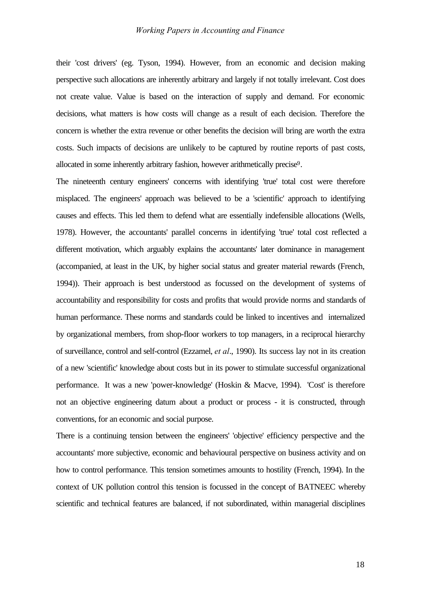their 'cost drivers' (eg. Tyson, 1994). However, from an economic and decision making perspective such allocations are inherently arbitrary and largely if not totally irrelevant. Cost does not create value. Value is based on the interaction of supply and demand. For economic decisions, what matters is how costs will change as a result of each decision. Therefore the concern is whether the extra revenue or other benefits the decision will bring are worth the extra costs. Such impacts of decisions are unlikely to be captured by routine reports of past costs, allocated in some inherently arbitrary fashion, however arithmetically precise<sup>9</sup>.

The nineteenth century engineers' concerns with identifying 'true' total cost were therefore misplaced. The engineers' approach was believed to be a 'scientific' approach to identifying causes and effects. This led them to defend what are essentially indefensible allocations (Wells, 1978). However, the accountants' parallel concerns in identifying 'true' total cost reflected a different motivation, which arguably explains the accountants' later dominance in management (accompanied, at least in the UK, by higher social status and greater material rewards (French, 1994)). Their approach is best understood as focussed on the development of systems of accountability and responsibility for costs and profits that would provide norms and standards of human performance. These norms and standards could be linked to incentives and internalized by organizational members, from shop-floor workers to top managers, in a reciprocal hierarchy of surveillance, control and self-control (Ezzamel, *et al*., 1990). Its success lay not in its creation of a new 'scientific' knowledge about costs but in its power to stimulate successful organizational performance. It was a new 'power-knowledge' (Hoskin & Macve, 1994). 'Cost' is therefore not an objective engineering datum about a product or process - it is constructed, through conventions, for an economic and social purpose.

There is a continuing tension between the engineers' 'objective' efficiency perspective and the accountants' more subjective, economic and behavioural perspective on business activity and on how to control performance. This tension sometimes amounts to hostility (French, 1994). In the context of UK pollution control this tension is focussed in the concept of BATNEEC whereby scientific and technical features are balanced, if not subordinated, within managerial disciplines

18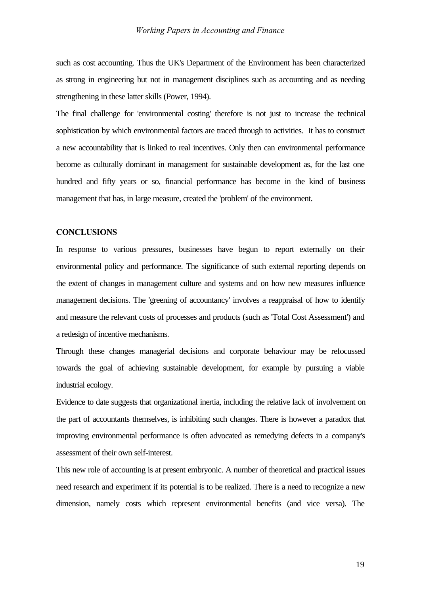such as cost accounting. Thus the UK's Department of the Environment has been characterized as strong in engineering but not in management disciplines such as accounting and as needing strengthening in these latter skills (Power, 1994).

The final challenge for 'environmental costing' therefore is not just to increase the technical sophistication by which environmental factors are traced through to activities. It has to construct a new accountability that is linked to real incentives. Only then can environmental performance become as culturally dominant in management for sustainable development as, for the last one hundred and fifty years or so, financial performance has become in the kind of business management that has, in large measure, created the 'problem' of the environment.

## **CONCLUSIONS**

In response to various pressures, businesses have begun to report externally on their environmental policy and performance. The significance of such external reporting depends on the extent of changes in management culture and systems and on how new measures influence management decisions. The 'greening of accountancy' involves a reappraisal of how to identify and measure the relevant costs of processes and products (such as 'Total Cost Assessment') and a redesign of incentive mechanisms.

Through these changes managerial decisions and corporate behaviour may be refocussed towards the goal of achieving sustainable development, for example by pursuing a viable industrial ecology.

Evidence to date suggests that organizational inertia, including the relative lack of involvement on the part of accountants themselves, is inhibiting such changes. There is however a paradox that improving environmental performance is often advocated as remedying defects in a company's assessment of their own self-interest.

This new role of accounting is at present embryonic. A number of theoretical and practical issues need research and experiment if its potential is to be realized. There is a need to recognize a new dimension, namely costs which represent environmental benefits (and vice versa). The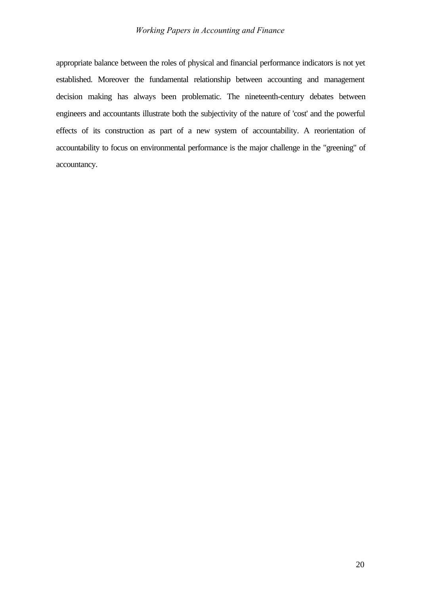appropriate balance between the roles of physical and financial performance indicators is not yet established. Moreover the fundamental relationship between accounting and management decision making has always been problematic. The nineteenth-century debates between engineers and accountants illustrate both the subjectivity of the nature of 'cost' and the powerful effects of its construction as part of a new system of accountability. A reorientation of accountability to focus on environmental performance is the major challenge in the "greening" of accountancy.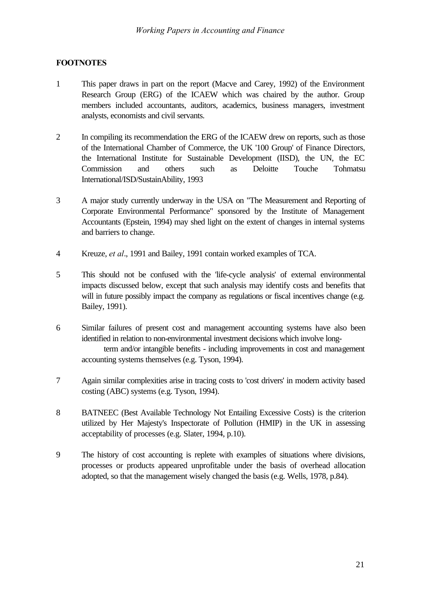## **FOOTNOTES**

- 1 This paper draws in part on the report (Macve and Carey, 1992) of the Environment Research Group (ERG) of the ICAEW which was chaired by the author. Group members included accountants, auditors, academics, business managers, investment analysts, economists and civil servants.
- 2 In compiling its recommendation the ERG of the ICAEW drew on reports, such as those of the International Chamber of Commerce, the UK '100 Group' of Finance Directors, the International Institute for Sustainable Development (IISD), the UN, the EC Commission and others such as Deloitte Touche Tohmatsu International/ISD/SustainAbility, 1993
- 3 A major study currently underway in the USA on "The Measurement and Reporting of Corporate Environmental Performance" sponsored by the Institute of Management Accountants (Epstein, 1994) may shed light on the extent of changes in internal systems and barriers to change.
- 4 Kreuze, *et al*., 1991 and Bailey, 1991 contain worked examples of TCA.
- 5 This should not be confused with the 'life-cycle analysis' of external environmental impacts discussed below, except that such analysis may identify costs and benefits that will in future possibly impact the company as regulations or fiscal incentives change (e.g. Bailey, 1991).
- 6 Similar failures of present cost and management accounting systems have also been identified in relation to non-environmental investment decisions which involve longterm and/or intangible benefits - including improvements in cost and management accounting systems themselves (e.g. Tyson, 1994).
- 7 Again similar complexities arise in tracing costs to 'cost drivers' in modern activity based costing (ABC) systems (e.g. Tyson, 1994).
- 8 BATNEEC (Best Available Technology Not Entailing Excessive Costs) is the criterion utilized by Her Majesty's Inspectorate of Pollution (HMIP) in the UK in assessing acceptability of processes (e.g. Slater, 1994, p.10).
- 9 The history of cost accounting is replete with examples of situations where divisions, processes or products appeared unprofitable under the basis of overhead allocation adopted, so that the management wisely changed the basis (e.g. Wells, 1978, p.84).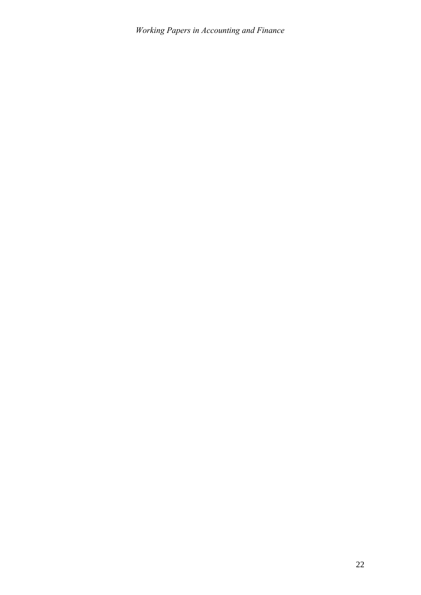*Working Papers in Accounting and Finance*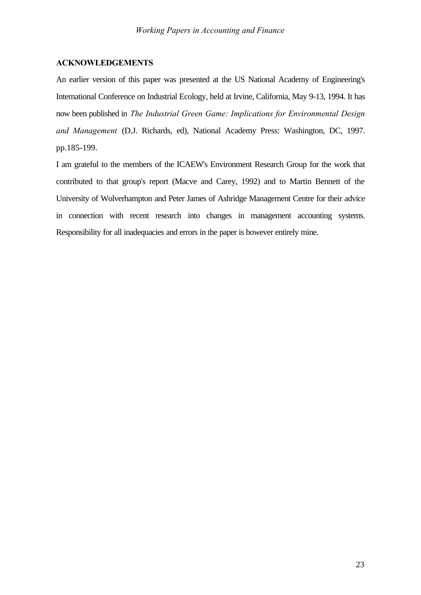## **ACKNOWLEDGEMENTS**

An earlier version of this paper was presented at the US National Academy of Engineering's International Conference on Industrial Ecology, held at Irvine, California, May 9-13, 1994. It has now been published in *The Industrial Green Game: Implications for Environmental Design and Management* (D.J. Richards, ed), National Academy Press: Washington, DC, 1997. pp.185-199.

I am grateful to the members of the ICAEW's Environment Research Group for the work that contributed to that group's report (Macve and Carey, 1992) and to Martin Bennett of the University of Wolverhampton and Peter James of Ashridge Management Centre for their advice in connection with recent research into changes in management accounting systems. Responsibility for all inadequacies and errors in the paper is however entirely mine.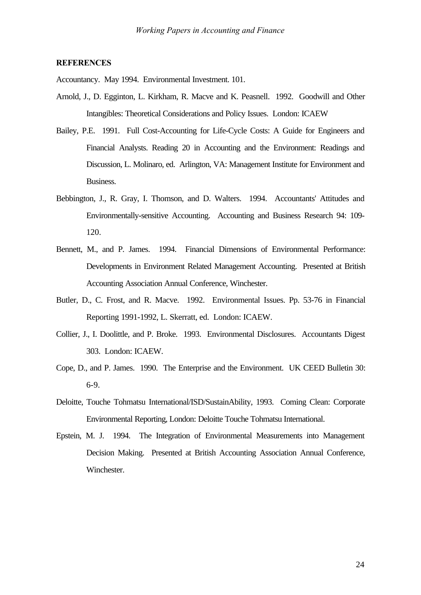#### **REFERENCES**

Accountancy. May 1994. Environmental Investment. 101.

- Arnold, J., D. Egginton, L. Kirkham, R. Macve and K. Peasnell. 1992. Goodwill and Other Intangibles: Theoretical Considerations and Policy Issues. London: ICAEW
- Bailey, P.E. 1991. Full Cost-Accounting for Life-Cycle Costs: A Guide for Engineers and Financial Analysts. Reading 20 in Accounting and the Environment: Readings and Discussion, L. Molinaro, ed. Arlington, VA: Management Institute for Environment and Business.
- Bebbington, J., R. Gray, I. Thomson, and D. Walters. 1994. Accountants' Attitudes and Environmentally-sensitive Accounting. Accounting and Business Research 94: 109- 120.
- Bennett, M., and P. James. 1994. Financial Dimensions of Environmental Performance: Developments in Environment Related Management Accounting. Presented at British Accounting Association Annual Conference, Winchester.
- Butler, D., C. Frost, and R. Macve. 1992. Environmental Issues. Pp. 53-76 in Financial Reporting 1991-1992, L. Skerratt, ed. London: ICAEW.
- Collier, J., I. Doolittle, and P. Broke. 1993. Environmental Disclosures. Accountants Digest 303. London: ICAEW.
- Cope, D., and P. James. 1990. The Enterprise and the Environment. UK CEED Bulletin 30: 6-9.
- Deloitte, Touche Tohmatsu International/ISD/SustainAbility, 1993. Coming Clean: Corporate Environmental Reporting, London: Deloitte Touche Tohmatsu International.
- Epstein, M. J. 1994. The Integration of Environmental Measurements into Management Decision Making. Presented at British Accounting Association Annual Conference, Winchester.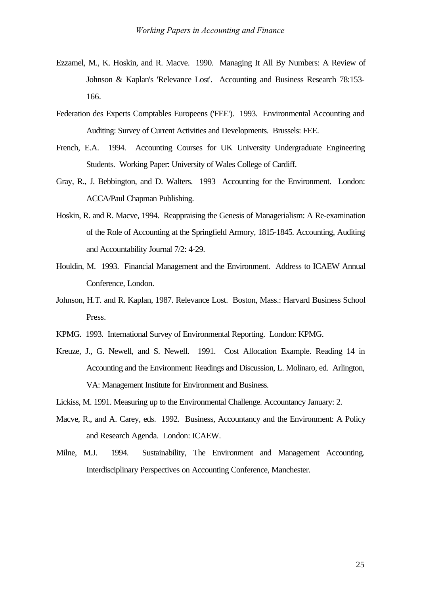- Ezzamel, M., K. Hoskin, and R. Macve. 1990. Managing It All By Numbers: A Review of Johnson & Kaplan's 'Relevance Lost'. Accounting and Business Research 78:153- 166.
- Federation des Experts Comptables Europeens ('FEE'). 1993. Environmental Accounting and Auditing: Survey of Current Activities and Developments. Brussels: FEE.
- French, E.A. 1994. Accounting Courses for UK University Undergraduate Engineering Students. Working Paper: University of Wales College of Cardiff.
- Gray, R., J. Bebbington, and D. Walters. 1993 Accounting for the Environment. London: ACCA/Paul Chapman Publishing.
- Hoskin, R. and R. Macve, 1994. Reappraising the Genesis of Managerialism: A Re-examination of the Role of Accounting at the Springfield Armory, 1815-1845. Accounting, Auditing and Accountability Journal 7/2: 4-29.
- Houldin, M. 1993. Financial Management and the Environment. Address to ICAEW Annual Conference, London.
- Johnson, H.T. and R. Kaplan, 1987. Relevance Lost. Boston, Mass.: Harvard Business School Press.
- KPMG. 1993. International Survey of Environmental Reporting. London: KPMG.
- Kreuze, J., G. Newell, and S. Newell. 1991. Cost Allocation Example. Reading 14 in Accounting and the Environment: Readings and Discussion, L. Molinaro, ed. Arlington, VA: Management Institute for Environment and Business.
- Lickiss, M. 1991. Measuring up to the Environmental Challenge. Accountancy January: 2.
- Macve, R., and A. Carey, eds. 1992. Business, Accountancy and the Environment: A Policy and Research Agenda. London: ICAEW.
- Milne, M.J. 1994. Sustainability, The Environment and Management Accounting. Interdisciplinary Perspectives on Accounting Conference, Manchester.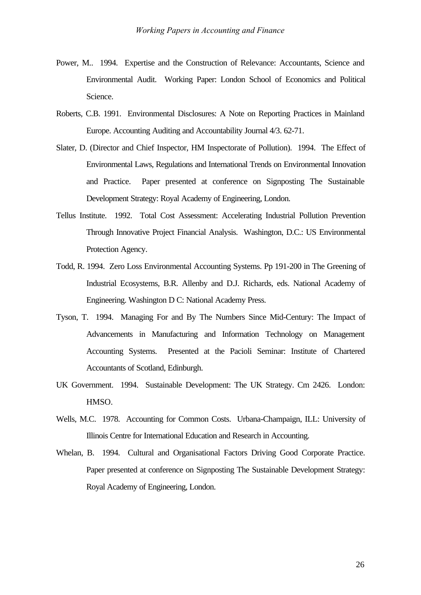- Power, M.. 1994. Expertise and the Construction of Relevance: Accountants, Science and Environmental Audit. Working Paper: London School of Economics and Political Science.
- Roberts, C.B. 1991. Environmental Disclosures: A Note on Reporting Practices in Mainland Europe. Accounting Auditing and Accountability Journal 4/3. 62-71.
- Slater, D. (Director and Chief Inspector, HM Inspectorate of Pollution). 1994. The Effect of Environmental Laws, Regulations and International Trends on Environmental Innovation and Practice. Paper presented at conference on Signposting The Sustainable Development Strategy: Royal Academy of Engineering, London.
- Tellus Institute. 1992. Total Cost Assessment: Accelerating Industrial Pollution Prevention Through Innovative Project Financial Analysis. Washington, D.C.: US Environmental Protection Agency.
- Todd, R. 1994. Zero Loss Environmental Accounting Systems. Pp 191-200 in The Greening of Industrial Ecosystems, B.R. Allenby and D.J. Richards, eds. National Academy of Engineering. Washington D C: National Academy Press.
- Tyson, T. 1994. Managing For and By The Numbers Since Mid-Century: The Impact of Advancements in Manufacturing and Information Technology on Management Accounting Systems. Presented at the Pacioli Seminar: Institute of Chartered Accountants of Scotland, Edinburgh.
- UK Government. 1994. Sustainable Development: The UK Strategy. Cm 2426. London: HMSO.
- Wells, M.C. 1978. Accounting for Common Costs. Urbana-Champaign, ILL: University of Illinois Centre for International Education and Research in Accounting.
- Whelan, B. 1994. Cultural and Organisational Factors Driving Good Corporate Practice. Paper presented at conference on Signposting The Sustainable Development Strategy: Royal Academy of Engineering, London.